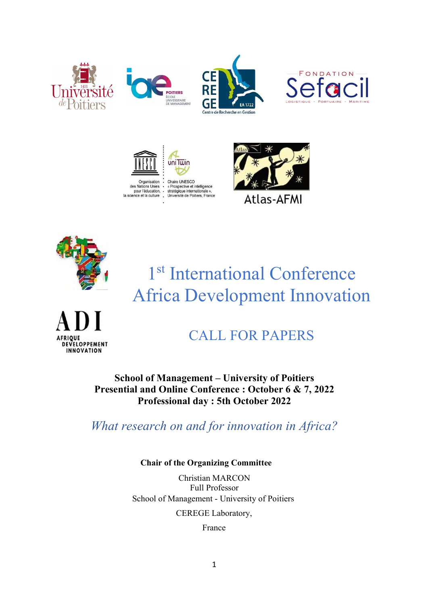





**Atlas-AFMI** 



1<sup>st</sup> International Conference Africa Development Innovation



# CALL FOR PAPERS

School of Management – University of Poitiers Presential and Online Conference : October 6 & 7, 2022 Professional day : 5th October 2022

What research on and for innovation in Africa?

# Chair of the Organizing Committee

Christian MARCON Full Professor School of Management - University of Poitiers

CEREGE Laboratory,

France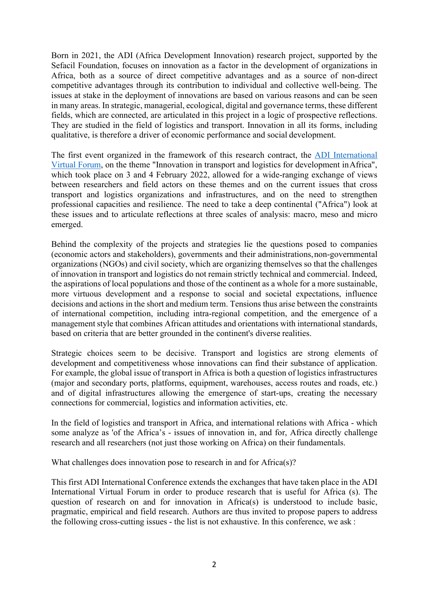Born in 2021, the ADI (Africa Development Innovation) research project, supported by the Sefacil Foundation, focuses on innovation as a factor in the development of organizations in Africa, both as a source of direct competitive advantages and as a source of non-direct competitive advantages through its contribution to individual and collective well-being. The issues at stake in the deployment of innovations are based on various reasons and can be seen in many areas. In strategic, managerial, ecological, digital and governance terms, these different fields, which are connected, are articulated in this project in a logic of prospective reflections. They are studied in the field of logistics and transport. Innovation in all its forms, including qualitative, is therefore a driver of economic performance and social development.

The first event organized in the framework of this research contract, the ADI International Virtual Forum, on the theme "Innovation in transport and logistics for development in Africa", which took place on 3 and 4 February 2022, allowed for a wide-ranging exchange of views between researchers and field actors on these themes and on the current issues that cross transport and logistics organizations and infrastructures, and on the need to strengthen professional capacities and resilience. The need to take a deep continental ("Africa") look at these issues and to articulate reflections at three scales of analysis: macro, meso and micro emerged.

Behind the complexity of the projects and strategies lie the questions posed to companies (economic actors and stakeholders), governments and their administrations, non-governmental organizations (NGOs) and civil society, which are organizing themselves so that the challenges of innovation in transport and logistics do not remain strictly technical and commercial. Indeed, the aspirations of local populations and those of the continent as a whole for a more sustainable, more virtuous development and a response to social and societal expectations, influence decisions and actions in the short and medium term. Tensions thus arise between the constraints of international competition, including intra-regional competition, and the emergence of a management style that combines African attitudes and orientations with international standards, based on criteria that are better grounded in the continent's diverse realities.

Strategic choices seem to be decisive. Transport and logistics are strong elements of development and competitiveness whose innovations can find their substance of application. For example, the global issue of transport in Africa is both a question of logistics infrastructures (major and secondary ports, platforms, equipment, warehouses, access routes and roads, etc.) and of digital infrastructures allowing the emergence of start-ups, creating the necessary connections for commercial, logistics and information activities, etc.

In the field of logistics and transport in Africa, and international relations with Africa - which some analyze as 'of the Africa's - issues of innovation in, and for, Africa directly challenge research and all researchers (not just those working on Africa) on their fundamentals.

What challenges does innovation pose to research in and for Africa(s)?

This first ADI International Conference extends the exchanges that have taken place in the ADI International Virtual Forum in order to produce research that is useful for Africa (s). The question of research on and for innovation in Africa(s) is understood to include basic, pragmatic, empirical and field research. Authors are thus invited to propose papers to address the following cross-cutting issues - the list is not exhaustive. In this conference, we ask :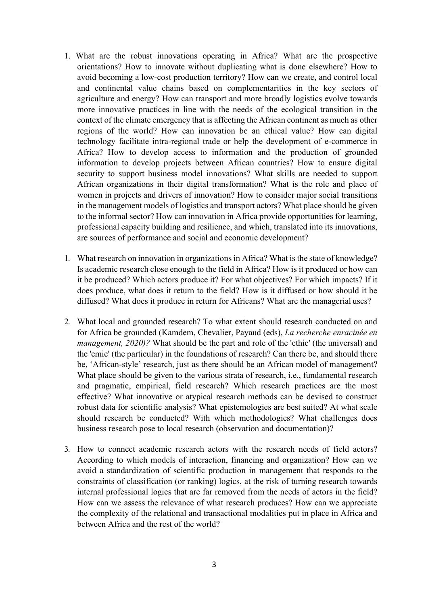- 1. What are the robust innovations operating in Africa? What are the prospective orientations? How to innovate without duplicating what is done elsewhere? How to avoid becoming a low-cost production territory? How can we create, and control local and continental value chains based on complementarities in the key sectors of agriculture and energy? How can transport and more broadly logistics evolve towards more innovative practices in line with the needs of the ecological transition in the context of the climate emergency that is affecting the African continent as much as other regions of the world? How can innovation be an ethical value? How can digital technology facilitate intra-regional trade or help the development of e-commerce in Africa? How to develop access to information and the production of grounded information to develop projects between African countries? How to ensure digital security to support business model innovations? What skills are needed to support African organizations in their digital transformation? What is the role and place of women in projects and drivers of innovation? How to consider major social transitions in the management models of logistics and transport actors? What place should be given to the informal sector? How can innovation in Africa provide opportunities for learning, professional capacity building and resilience, and which, translated into its innovations, are sources of performance and social and economic development?
- 1. What research on innovation in organizations in Africa? What is the state of knowledge? Is academic research close enough to the field in Africa? How is it produced or how can it be produced? Which actors produce it? For what objectives? For which impacts? If it does produce, what does it return to the field? How is it diffused or how should it be diffused? What does it produce in return for Africans? What are the managerial uses?
- 2. What local and grounded research? To what extent should research conducted on and for Africa be grounded (Kamdem, Chevalier, Payaud (eds), La recherche enracinée en management, 2020)? What should be the part and role of the 'ethic' (the universal) and the 'emic' (the particular) in the foundations of research? Can there be, and should there be, 'African-style' research, just as there should be an African model of management? What place should be given to the various strata of research, i.e., fundamental research and pragmatic, empirical, field research? Which research practices are the most effective? What innovative or atypical research methods can be devised to construct robust data for scientific analysis? What epistemologies are best suited? At what scale should research be conducted? With which methodologies? What challenges does business research pose to local research (observation and documentation)?
- 3. How to connect academic research actors with the research needs of field actors? According to which models of interaction, financing and organization? How can we avoid a standardization of scientific production in management that responds to the constraints of classification (or ranking) logics, at the risk of turning research towards internal professional logics that are far removed from the needs of actors in the field? How can we assess the relevance of what research produces? How can we appreciate the complexity of the relational and transactional modalities put in place in Africa and between Africa and the rest of the world?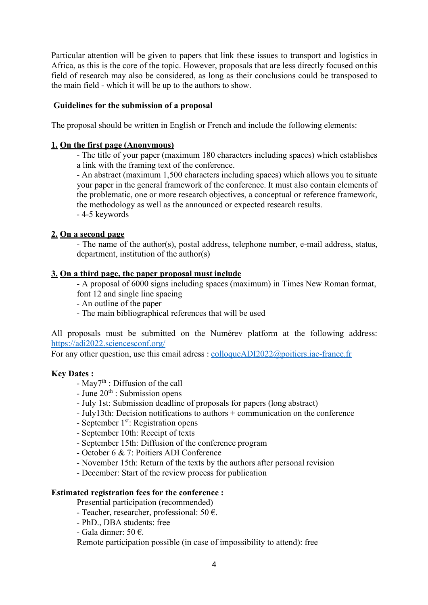Particular attention will be given to papers that link these issues to transport and logistics in Africa, as this is the core of the topic. However, proposals that are less directly focused on this field of research may also be considered, as long as their conclusions could be transposed to the main field - which it will be up to the authors to show.

## Guidelines for the submission of a proposal

The proposal should be written in English or French and include the following elements:

## 1. On the first page (Anonymous)

- The title of your paper (maximum 180 characters including spaces) which establishes a link with the framing text of the conference.

- An abstract (maximum 1,500 characters including spaces) which allows you to situate your paper in the general framework of the conference. It must also contain elements of the problematic, one or more research objectives, a conceptual or reference framework, the methodology as well as the announced or expected research results. - 4-5 keywords

## 2. On a second page

- The name of the author(s), postal address, telephone number, e-mail address, status, department, institution of the author(s)

#### 3. On a third page, the paper proposal must include

- A proposal of 6000 signs including spaces (maximum) in Times New Roman format, font 12 and single line spacing

- An outline of the paper
- The main bibliographical references that will be used

All proposals must be submitted on the Numérev platform at the following address: https://adi2022.sciencesconf.org/

For any other question, use this email adress : colloqueADI2022@poitiers.iae-france.fr

#### Key Dates :

- $\text{May7}^{\text{th}}$ : Diffusion of the call
- $-$  June  $20<sup>th</sup>$ : Submission opens
- July 1st: Submission deadline of proposals for papers (long abstract)
- July13th: Decision notifications to authors + communication on the conference
- September  $1<sup>st</sup>$ : Registration opens
- September 10th: Receipt of texts
- September 15th: Diffusion of the conference program
- October 6 & 7: Poitiers ADI Conference
- November 15th: Return of the texts by the authors after personal revision
- December: Start of the review process for publication

## Estimated registration fees for the conference :

Presential participation (recommended)

- Teacher, researcher, professional: 50  $\epsilon$ .
- PhD., DBA students: free
- Gala dinner: 50  $\epsilon$ .

Remote participation possible (in case of impossibility to attend): free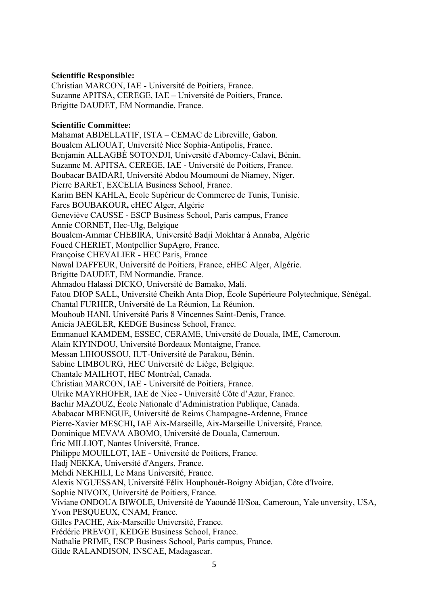## Scientific Responsible:

Christian MARCON, IAE - Université de Poitiers, France. Suzanne APITSA, CEREGE, IAE – Université de Poitiers, France. Brigitte DAUDET, EM Normandie, France.

## Scientific Committee:

Mahamat ABDELLATIF, ISTA – CEMAC de Libreville, Gabon. Boualem ALIOUAT, Université Nice Sophia-Antipolis, France. Benjamin ALLAGBÉ SOTONDJI, Université d'Abomey-Calavi, Bénin. Suzanne M. APITSA, CEREGE, IAE - Université de Poitiers, France. Boubacar BAIDARI, Université Abdou Moumouni de Niamey, Niger. Pierre BARET, EXCELIA Business School, France. Karim BEN KAHLA, Ecole Supérieur de Commerce de Tunis, Tunisie. Fares BOUBAKOUR, eHEC Alger, Algérie Geneviève CAUSSE - ESCP Business School, Paris campus, France Annie CORNET, Hec-Ulg, Belgique Boualem-Ammar CHEBIRA, Université Badji Mokhtar à Annaba, Algérie Foued CHERIET, Montpellier SupAgro, France. Françoise CHEVALIER - HEC Paris, France Nawal DAFFEUR, Université de Poitiers, France, eHEC Alger, Algérie. Brigitte DAUDET, EM Normandie, France. Ahmadou Halassi DICKO, Université de Bamako, Mali. Fatou DIOP SALL, Université Cheikh Anta Diop, École Supérieure Polytechnique, Sénégal. Chantal FURHER, Université de La Réunion, La Réunion. Mouhoub HANI, Université Paris 8 Vincennes Saint-Denis, France. Anicia JAEGLER, KEDGE Business School, France. Emmanuel KAMDEM, ESSEC, CERAME, Université de Douala, IME, Cameroun. Alain KIYINDOU, Université Bordeaux Montaigne, France. Messan LIHOUSSOU, IUT-Université de Parakou, Bénin. Sabine LIMBOURG, HEC Université de Liège, Belgique. Chantale MAILHOT, HEC Montréal, Canada. Christian MARCON, IAE - Université de Poitiers, France. Ulrike MAYRHOFER, IAE de Nice - Université Côte d'Azur, France. Bachir MAZOUZ, École Nationale d'Administration Publique, Canada. Ababacar MBENGUE, Université de Reims Champagne-Ardenne, France Pierre-Xavier MESCHI, IAE Aix-Marseille, Aix-Marseille Université, France. Dominique MEVA'A ABOMO, Université de Douala, Cameroun. Éric MILLIOT, Nantes Université, France. Philippe MOUILLOT, IAE - Université de Poitiers, France. Hadj NEKKA, Université d'Angers, France. Mehdi NEKHILI, Le Mans Université, France. Alexis N'GUESSAN, Université Félix Houphouët-Boigny Abidjan, Côte d'Ivoire. Sophie NIVOIX, Université de Poitiers, France. Viviane ONDOUA BIWOLE, Université de Yaoundé II/Soa, Cameroun, Yale unversity, USA, Yvon PESQUEUX, CNAM, France. Gilles PACHE, Aix-Marseille Université, France. Frédéric PREVOT, KEDGE Business School, France.

Nathalie PRIME, ESCP Business School, Paris campus, France.

Gilde RALANDISON, INSCAE, Madagascar.